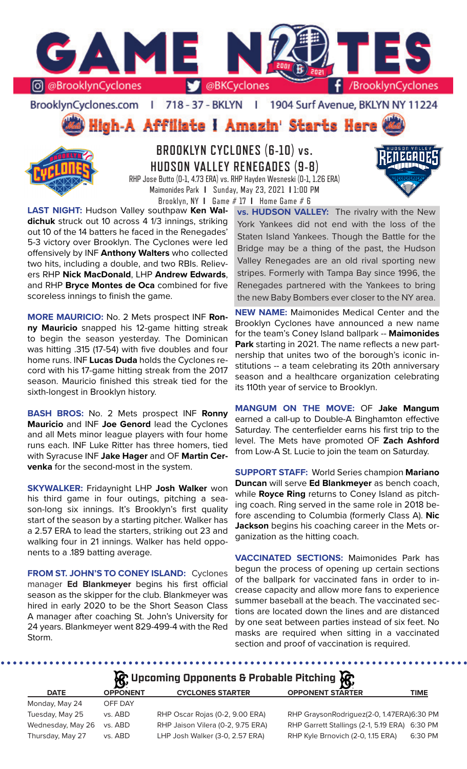

BrooklynCyclones.com | 718 - 37 - BKLYN - F 1904 Surf Avenue, BKLYN NY 11224





**BROOKLYN CYCLONES (6-10) vs. HUDSON VALLEY RENEGADES (9-8)** RHP Jose Butto (0-1, 4.73 ERA) vs. RHP Hayden Wesneski (0-1, 1.26 ERA) Maimonides Park **I** Sunday, May 23, 2021 **I** 1:00 PM

Brooklyn, NY **I** Game # 17 **I** Home Game # 6

**LAST NIGHT:** Hudson Valley southpaw **Ken Waldichuk** struck out 10 across 4 1/3 innings, striking out 10 of the 14 batters he faced in the Renegades' 5-3 victory over Brooklyn. The Cyclones were led offensively by INF **Anthony Walters** who collected two hits, including a double, and two RBIs. Relievers RHP **Nick MacDonald**, LHP **Andrew Edwards**, and RHP **Bryce Montes de Oca** combined for five scoreless innings to finish the game.

**MORE MAURICIO:** No. 2 Mets prospect INF **Ronny Mauricio** snapped his 12-game hitting streak to begin the season yesterday. The Dominican was hitting .315 (17-54) with five doubles and four home runs. INF **Lucas Duda** holds the Cyclones record with his 17-game hitting streak from the 2017 season. Mauricio finished this streak tied for the sixth-longest in Brooklyn history.

**BASH BROS:** No. 2 Mets prospect INF **Ronny Mauricio** and INF **Joe Genord** lead the Cyclones and all Mets minor league players with four home runs each. INF Luke Ritter has three homers, tied with Syracuse INF **Jake Hager** and OF **Martin Cervenka** for the second-most in the system.

**SKYWALKER:** Fridaynight LHP **Josh Walker** won his third game in four outings, pitching a season-long six innings. It's Brooklyn's first quality start of the season by a starting pitcher. Walker has a 2.57 ERA to lead the starters, striking out 23 and walking four in 21 innings. Walker has held opponents to a .189 batting average.

**FROM ST. JOHN'S TO CONEY ISLAND:** Cyclones manager **Ed Blankmeyer** begins his first official season as the skipper for the club. Blankmeyer was hired in early 2020 to be the Short Season Class A manager after coaching St. John's University for 24 years. Blankmeyer went 829-499-4 with the Red Storm.

**vs. HUDSON VALLEY:** The rivalry with the New York Yankees did not end with the loss of the Staten Island Yankees. Though the Battle for the Bridge may be a thing of the past, the Hudson Valley Renegades are an old rival sporting new stripes. Formerly with Tampa Bay since 1996, the Renegades partnered with the Yankees to bring the new Baby Bombers ever closer to the NY area.

**NEW NAME:** Maimonides Medical Center and the Brooklyn Cyclones have announced a new name for the team's Coney Island ballpark -- **Maimonides Park** starting in 2021. The name reflects a new partnership that unites two of the borough's iconic institutions -- a team celebrating its 20th anniversary season and a healthcare organization celebrating its 110th year of service to Brooklyn.

**MANGUM ON THE MOVE:** OF **Jake Mangum** earned a call-up to Double-A Binghamton effective Saturday. The centerfielder earns his first trip to the level. The Mets have promoted OF **Zach Ashford** from Low-A St. Lucie to join the team on Saturday.

**SUPPORT STAFF:** World Series champion **Mariano Duncan** will serve **Ed Blankmeyer** as bench coach, while **Royce Ring** returns to Coney Island as pitching coach. Ring served in the same role in 2018 before ascending to Columbia (formerly Class A). **Nic Jackson** begins his coaching career in the Mets organization as the hitting coach.

**VACCINATED SECTIONS:** Maimonides Park has begun the process of opening up certain sections of the ballpark for vaccinated fans in order to increase capacity and allow more fans to experience summer baseball at the beach. The vaccinated sections are located down the lines and are distanced by one seat between parties instead of six feet. No masks are required when sitting in a vaccinated section and proof of vaccination is required.

**A** Upcoming Opponents & Probable Pitching

| <b>OPPONENT</b> | <b>CYCLONES STARTER</b>           | <b>OPPONENT STARTER</b>                       | <b>TIME</b> |
|-----------------|-----------------------------------|-----------------------------------------------|-------------|
| OFF DAY         |                                   |                                               |             |
| vs. ABD         | RHP Oscar Rojas (0-2, 9.00 ERA)   | RHP GraysonRodriguez(2-0, 1.47ERA)6:30 PM     |             |
| vs. ABD         | RHP Jaison Vilera (0-2, 9.75 ERA) | RHP Garrett Stallings (2-1, 5.19 ERA) 6:30 PM |             |
| vs. ABD         | LHP Josh Walker (3-0, 2.57 ERA)   | RHP Kyle Brnovich (2-0, 1.15 ERA)             | 6:30 PM     |
|                 |                                   |                                               |             |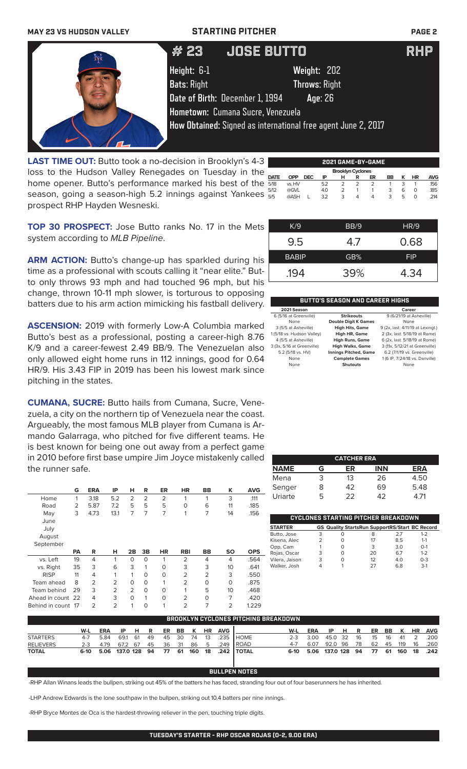**MAY 23 VS HUDSON VALLEY STARTING PITCHER PAGE 2**



**LAST TIME OUT:** Butto took a no-decision in Brooklyn's 4-3 loss to the Hudson Valley Renegades on Tuesday in the home opener. Butto's performance marked his best of the season, going a season-high 5.2 innings against Yankees prospect RHP Hayden Wesneski.

|                          | 2021 GAME-BY-GAME |            |     |   |   |               |    |   |    |            |
|--------------------------|-------------------|------------|-----|---|---|---------------|----|---|----|------------|
| <b>Brooklyn Cyclones</b> |                   |            |     |   |   |               |    |   |    |            |
| <b>DATE</b>              | <b>OPP</b>        | <b>DEC</b> | ΙP  | н | R | ER            | BB | к | ΗR | <b>AVG</b> |
| 5/18                     | vs. HV            |            | 5.2 | 2 |   | $\mathcal{P}$ |    | 3 |    | .156       |
| 5/12                     | @GVL              |            | 4.0 | っ |   |               | 3  | 6 | O  | .185       |
| 5/5                      | @ASH              |            | 3.2 | 3 | 4 | Δ             | 3  | 5 | Ω  | .214       |

**TOP 30 PROSPECT:** Jose Butto ranks No. 17 in the Mets system according to *MLB Pipeline*.

**ARM ACTION:** Butto's change-up has sparkled during his time as a professional with scouts calling it "near elite." Butto only throws 93 mph and had touched 96 mph, but his change, thrown 10-11 mph slower, is torturous to opposing batters due to his arm action mimicking his fastball delivery.

**ASCENSION:** 2019 with formerly Low-A Columbia marked Butto's best as a professional, posting a career-high 8.76 K/9 and a career-fewest 2.49 BB/9. The Venezuelan also only allowed eight home runs in 112 innings, good for 0.64 HR/9. His 3.43 FIP in 2019 has been his lowest mark since pitching in the states.

**CUMANA, SUCRE:** Butto hails from Cumana, Sucre, Venezuela, a city on the northern tip of Venezuela near the coast. Argueably, the most famous MLB player from Cumana is Armando Galarraga, who pitched for five different teams. He is best known for being one out away from a perfect game in 2010 before first base umpire Jim Joyce mistakenly called the runner safe.

|                   | G         | <b>ERA</b>     | IP             | н              | R              | ER             | <b>HR</b>      | <b>BB</b>      | κ         | <b>AVG</b> |
|-------------------|-----------|----------------|----------------|----------------|----------------|----------------|----------------|----------------|-----------|------------|
| Home              | 1         | 3.18           | 5.2            | $\overline{2}$ | $\overline{2}$ | $\overline{2}$ | 1              | 1              | 3         | .111       |
| Road              | 2         | 5.87           | 7.2            | 5              | 5              | 5              | $\Omega$       | 6              | 11        | .185       |
| May               | 3         | 4.73           | 13.1           | 7              | 7              | 7              | 1              | 7              | 14        | .156       |
| June              |           |                |                |                |                |                |                |                |           |            |
| July              |           |                |                |                |                |                |                |                |           |            |
| August            |           |                |                |                |                |                |                |                |           |            |
| September         |           |                |                |                |                |                |                |                |           |            |
|                   | <b>PA</b> | R              | н              | 2B             | 3B             | <b>HR</b>      | <b>RBI</b>     | BB             | <b>SO</b> | <b>OPS</b> |
|                   |           |                |                |                |                |                |                |                |           |            |
| vs. Left          | 19        | 4              | 1              | $\Omega$       | $\circ$        | 1              | $\overline{2}$ | 4              | 4         | .564       |
| vs. Right         | 35        | 3              | 6              | 3              | 1              | 0              | 3              | 3              | 10        | .641       |
| <b>RISP</b>       | 11        | 4              | 1              | 1              | $\Omega$       | $\Omega$       | $\overline{2}$ | $\overline{2}$ | 3         | .550       |
| Team ahead        | 8         | $\overline{2}$ | $\overline{2}$ | $\Omega$       | $\circ$        | 1              | $\overline{2}$ | $\Omega$       | $\Omega$  | .875       |
| Team behind       | 29        | 3              | 2              | $\overline{2}$ | $\circ$        | $\Omega$       | 1              | 5              | 10        | .468       |
| Ahead in count 22 |           | 4              | 3              | $\Omega$       | 1              | $\Omega$       | $\overline{2}$ | O              | 7         | .420       |

| K/9          | BB/9 | HR/9       |
|--------------|------|------------|
| 9.5          | 47   | 0.68       |
| <b>BABIP</b> | GB%  | <b>FIP</b> |
| .194         | 39%  | 4.34       |

### **BUTTO'S SEASON AND CAREER HIGHS**

| 2021 Season                |                              | Career                            |
|----------------------------|------------------------------|-----------------------------------|
| 6 (5/16 at Greenville)     | <b>Strikeouts</b>            | 9 (6/21/19 at Asheville)          |
| None                       | <b>Double Digit K Games</b>  | None                              |
| 3 (5/5 at Asheville)       | <b>High Hits, Game</b>       | 9 (2x, last: 4/11/19 at Lexingt.) |
| 1 (5/18 vs. Hudson Valley) | High HR, Game                | 2 (3x, last: 5/18/19 at Rome)     |
| 4 (5/5 at Asheville)       | <b>High Runs, Game</b>       | 6 (2x, last: 5/18/19 at Rome)     |
| 3 (3x, 5/16 at Greenville) | <b>High Walks, Game</b>      | 3 (11x, 5/12/21 at Greenville)    |
| 5.2 (5/18 vs. HV)          | <b>Innings Pitched, Game</b> | 6.2 (7/1/19 vs. Greenville)       |
| None                       | <b>Complete Games</b>        | 1 (6 IP, 7/24/18 vs. Danville)    |
| None                       | <b>Shutouts</b>              | None                              |

| <b>CATCHER ERA</b> |   |                 |            |      |  |  |  |
|--------------------|---|-----------------|------------|------|--|--|--|
| <b>NAME</b>        | G | ER              | <b>INN</b> | ERA  |  |  |  |
| Mena               | 3 | 13 <sup>°</sup> | 26         | 4.50 |  |  |  |
| Senger             | 8 | 42              | 69         | 5.48 |  |  |  |
| Uriarte            | 5 | フフ              | 42         | 4 71 |  |  |  |

|                |   |   | CYCLONES STARTING PITCHER BREAKDOWN                   |     |         |
|----------------|---|---|-------------------------------------------------------|-----|---------|
| <b>STARTER</b> |   |   | <b>GS Quality StartsRun SupportRS/Start BC Record</b> |     |         |
| Butto, Jose    | 3 | ი | 8                                                     | 27  | $1 - 2$ |
| Kisena, Alec   |   | O | 17                                                    | 8.5 | $1 - 1$ |
| Opp, Cam       |   | O | 3                                                     | 3.0 | $O-1$   |
| Rojas, Oscar   | 3 | O | 20                                                    | 67  | $1 - 2$ |
| Vilera, Jaison | 3 | O | 12                                                    | 4 O | $0 - 3$ |
| Walker, Josh   |   |   | 27                                                    | 68  | $3-1$   |

| BROOKLYN CYCLONES PITCHING BREAKDOWN |     |                        |            |       |  |          |  |  |           |            |                         |         |            |                   |  |  |                 |    |                   |
|--------------------------------------|-----|------------------------|------------|-------|--|----------|--|--|-----------|------------|-------------------------|---------|------------|-------------------|--|--|-----------------|----|-------------------|
|                                      | W-L | <b>ERA</b>             |            | IP HR |  | ER BB K  |  |  | <b>HR</b> | <b>AVG</b> |                         | W-L     | <b>ERA</b> | IP HR             |  |  |                 |    | ER BB K HR AVG    |
| <b>STARTERS</b>                      | 4-7 | 5.84                   | 69.1 61 49 |       |  | 45 30 74 |  |  | 13        | .235       | <b>HOME</b>             | $2 - 3$ | 3.00       | 45.0 32 16        |  |  | 15 16 41 2      |    | .200              |
| <b>RELIEVERS</b>                     |     | 2-3 4.79               | 67.2 67 45 |       |  | 36 31 86 |  |  | - 5       | .249       | <b>IROAD</b>            | $4 - 7$ | 6.07       | 92.0 96 78        |  |  | 62    45    119 | 16 | .260              |
| <b>TOTAL</b>                         |     | 6-10 5.06 137.0 128 94 |            |       |  |          |  |  |           |            | 77 61 160 18 .242 TOTAL | 6-10    |            | 5.06 137.0 128 94 |  |  |                 |    | 77 61 160 18 .242 |

### **BULLPEN NOTES**

-RHP Allan Winans leads the bullpen, striking out 45% of the batters he has faced, stranding four out of four baserunners he has inherited.

-LHP Andrew Edwards is the lone southpaw in the bullpen, striking out 10.4 batters per nine innings.

-RHP Bryce Montes de Oca is the hardest-throwing reliever in the pen, touching triple digits.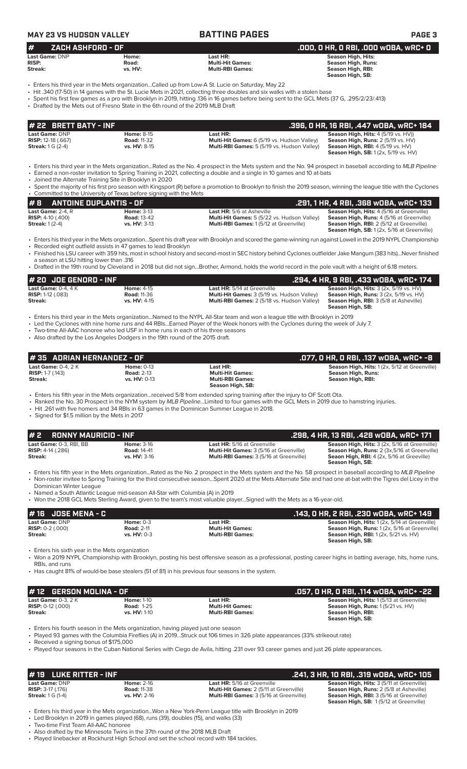| #<br>ZACH ASHFORD - OF                    |                                                                                  |                                                                | .000, 0 HR, 0 RBI, .000 WOBA, WRC+ 0                                                                   |
|-------------------------------------------|----------------------------------------------------------------------------------|----------------------------------------------------------------|--------------------------------------------------------------------------------------------------------|
| Last Game: DNP<br><b>RISP:</b><br>Streak: | Home:<br>Road:<br>vs. HV:                                                        | Last HR:<br><b>Multi-Hit Games:</b><br><b>Multi-RBI Games:</b> | <b>Season High, Hits:</b><br><b>Season High, Runs:</b><br><b>Season High, RBI:</b><br>Season High, SB: |
| # 22 BRETT BATY - INF                     | • Drafted by the Mets out of Fresno State in the 6th round of the 2019 MLB Draft |                                                                | .396, 0 HR, 16 RBI, .447 w0BA, wRC+ 184                                                                |
| Last Game: DNP                            | <b>Home: 8-15</b><br><b>Road: 11-32</b>                                          | Last HR:<br>Multi-Hit Games: 6 (5/19 vs. Hudson Valley)        | Season High, Hits: 4 (5/19 vs. HV))<br>Season High, Runs: 2 (5/19 vs. HV)                              |

| #8                            | ANTOINE DUPLANTIS - OF |                                                    | .291. 1 HR. 4 RBI. .368 wOBA. wRC+ 133             |
|-------------------------------|------------------------|----------------------------------------------------|----------------------------------------------------|
| <b>Last Game:</b> $2-4$ . $R$ | <b>Home: 3-13</b>      | <b>Last HR:</b> 5/6 at Asheville                   | <b>Season High, Hits: 4 (5/16 at Greenville)</b>   |
| <b>RISP:</b> 4-10 $(.400)$    | <b>Road: 13-42</b>     | <b>Multi-Hit Games:</b> 5 (5/22 vs. Hudson Valley) | <b>Season High, Runs:</b> 4 (5/16 at Greenville)   |
| <b>Streak:</b> 1 (2-4)        | <b>vs. HV: 3-13</b>    | <b>Multi-RBI Games: 1(5/12 at Greenville)</b>      | <b>Season High, RBI:</b> 2 (5/12 at Greenville)    |
|                               |                        |                                                    | <b>Season High, SB:</b> 1 (2x, 5/16 at Greenville) |

• Enters his third year in the Mets organization...Spent his draft year with Brooklyn and scored the game-winning run against Lowell in the 2019 NYPL Championship • Recorded eight outfield assists in 47 games to lead Brooklyn

• Finished his LSU career with 359 hits, most in school history and second-most in SEC history behind Cyclones outfielder Jake Mangum (383 hits)...Never finished a season at LSU hitting lower than .316

• Drafted in the 19th round by Cleveland in 2018 but did not sign...Brother, Armond, holds the world record in the pole vault with a height of 6.18 meters.

| $# 20$ JOE GENORD - INF      |                     |                                             | .294, 4 HR, 9 RBI, .433 wOBA, wRC+ 174                            |
|------------------------------|---------------------|---------------------------------------------|-------------------------------------------------------------------|
| Last Game: $0-4$ , $4K$      | <b>Home: 4-15</b>   | Last HR: 5/14 at Greenville                 | <b>Season High, Hits:</b> $3$ ( $2x$ , $5/19$ vs. $HV$ )          |
| <b>RISP:</b> $1-12$ $(.083)$ | <b>Road: 11-36</b>  | Multi-Hit Games: 3 (5/19 vs. Hudson Valley) | <b>Season High, Runs:</b> $3$ ( $2x$ , $5/19$ vs. $HV$ )          |
| Streak:                      | <b>vs. HV: 4-15</b> | Multi-RBI Games: 2 (5/18 vs. Hudson Valley) | <b>Season High, RBI:</b> 3 (5/8 at Asheville)<br>Season High, SB: |

• Enters his third year in the Mets organization...Named to the NYPL All-Star team and won a league title with Brooklyn in 2019

• Led the Cyclones with nine home runs and 44 RBIs...Earned Player of the Week honors with the Cyclones during the week of July 7.

• Two-time All-AAC honoree who led USF in home runs in each of his three seasons • Also drafted by the Los Angeles Dodgers in the 19th round of the 2015 draft.

**# 2 RONNY MAURICIO - INF .298, 4 HR, 13 RBI, .428 wOBA, wRC+ 171 Last Game:** 0-3, RBI, BB **Home:** 3-16 **Last HR:** 5/16 at Greenville **Season High, Hits:** 3 (2x, 5/16 at Greenville) **RISP:** 4-14 (.286) **Road:** 14-41 **Multi-Hit Games:** 3 (5/16 at Greenville) **Season High, Runs:** 2 (3x,5/16 at Greenville) **Streak: vs. HV:** 3-16 **Multi-RBI Games:** 3 (5/16 at Greenville) **Seaon High, RBI:** 4 (2x, 5/16 at Greeville) **Season High, SB:** • Enters his fifth year in the Mets organization...Rated as the No. 2 prospect in the Mets system and the No. 58 prospect in baseball according to *MLB Pipeline* • Non-roster invitee to Spring Training for the third consecutive season...Spent 2020 at the Mets Alternate Site and had one at-bat with the Tigres del Licey in the Dominican Winter League **Last Game:** 0-4, 2 K **Home:** 0-13 **Last HR: Season High, Hits:** 1 (2x, 5/12 at Greenville) **RISP:** 1-7 (.143) **Road:** 2-13 **Multi-Hit Games: Season High, Runs: Streak: vs. HV:** 0-13 **Multi-RBI Games: Season High, RBI: Season High, SB:**  • Enters his fifth year in the Mets organization...received 5/8 from extended spring training after the injury to OF Scott Ota.<br>• Ranked the No. 30 Prospect in the NYM system by *MI B Pipeline*. Limited to four games with • Ranked the No. 30 Prospect in the NYM system by *MLB Pipeline...*Limited to four games with the GCL Mets in 2019 due to hamstring injuries. • Hit .261 with five homers and 34 RBIs in 63 games in the Dominican Summer League in 2018. • Signed for \$1.5 million by the Mets in 2017 **# 35 ADRIAN HERNANDEZ - OF .077, 0 HR, 0 RBI, .137 wOBA, wRC+ -8**

• Named a South Atlantic League mid-season All-Star with Columbia (A) in 2019 • Won the 2018 GCL Mets Sterling Award, given to the team's most valuable player...Signed with the Mets as a 16-year-old.

| $#16$ JOSE MENA - C       |                   |                         | .143, 0 HR, 2 RBI, .230 w0BA, wRC+ 149               |
|---------------------------|-------------------|-------------------------|------------------------------------------------------|
| Last Game: DNP            | Home: $0-3$       | Last HR:                | <b>Season High, Hits: 1(2x, 5/14 at Greenville)</b>  |
| <b>RISP:</b> $0-2$ (.000) | <b>Road: 2-11</b> | <b>Multi-Hit Games:</b> | <b>Season High, Runs: 1 (2x, 5/16 at Greenville)</b> |
| Streak:                   | vs. $HV: 0-3$     | <b>Multi-RBI Games:</b> | <b>Season High, RBI:</b> 1(2x, 5/21 vs. HV)          |
|                           |                   |                         | Season High, SB:                                     |

• Enters his sixth year in the Mets organization

• Won a 2019 NYPL Championship with Brooklyn, posting his best offensive season as a professional, posting career highs in batting average, hits, home runs, RBIs, and runs

• Has caught 81% of would-be base stealers (51 of 81) in his previous four seasons in the system.

| $#$ 12 GERSON MOLINA - OF    |                     |                         | .057, 0 HR, 0 RBI, .114 w0BA, wRC+ -22          |
|------------------------------|---------------------|-------------------------|-------------------------------------------------|
| Last Game: $0-3$ . $2K$      | <b>Home: 1-10</b>   | Last HR:                | <b>Season High, Hits: 1(5/13 at Greenville)</b> |
| <b>RISP:</b> $0-12$ $(.000)$ | <b>Road: 1-25</b>   | <b>Multi-Hit Games:</b> | Season High, Runs: 1(5/21 vs. HV)               |
| Streak:                      | <b>vs. HV: 1-10</b> | <b>Multi-RBI Games:</b> | Season High, RBI:                               |
|                              |                     |                         | Season High, SB:                                |

• Enters his fourth season in the Mets organization, having played just one season

• Played 93 games with the Columbia Fireflies (A) in 2019...Struck out 106 times in 326 plate appearances (33% strikeout rate)

• Received a signing bonus of \$175,000

• Played four seasons in the Cuban National Series with Ciego de Avila, hitting .231 over 93 career games and just 26 plate appearances.

|                            | $#$ 19 LUKE RITTER - INF |                     |                                                | .241. 3 HR. 10 RBI. .319 wOBA. wRC+ 105          |
|----------------------------|--------------------------|---------------------|------------------------------------------------|--------------------------------------------------|
| Last Game: DNP             |                          | <b>Home: 2-16</b>   | <b>Last HR:</b> 5/16 at Greenville             | <b>Season High, Hits: 3 (5/11 at Greenville)</b> |
| <b>RISP:</b> $3-17$ (.176) |                          | <b>Road: 11-38</b>  | <b>Multi-Hit Games: 2 (5/11 at Greenville)</b> | <b>Season High, Runs: 2 (5/8 at Asheville)</b>   |
| <b>Streak: 1 G (1-4)</b>   |                          | <b>vs. HV: 2-16</b> | <b>Multi-RBI Games:</b> 3 (5/16 at Greenville) | <b>Season High, RBI: 3 (5/16 at Greenville)</b>  |
|                            |                          |                     |                                                | <b>Season High, SB: 1(5/12 at Greenville)</b>    |

• Enters his third year in the Mets organization...Won a New York-Penn League title with Brooklyn in 2019 Led Brooklyn in 2019 in games played (68), runs (39), doubles (15), and walks (33)

• Two-time First Team All-AAC honoree

• Also drafted by the Minnesota Twins in the 37th round of the 2018 MLB Draft

• Played linebacker at Rockhurst High School and set the school record with 184 tackles.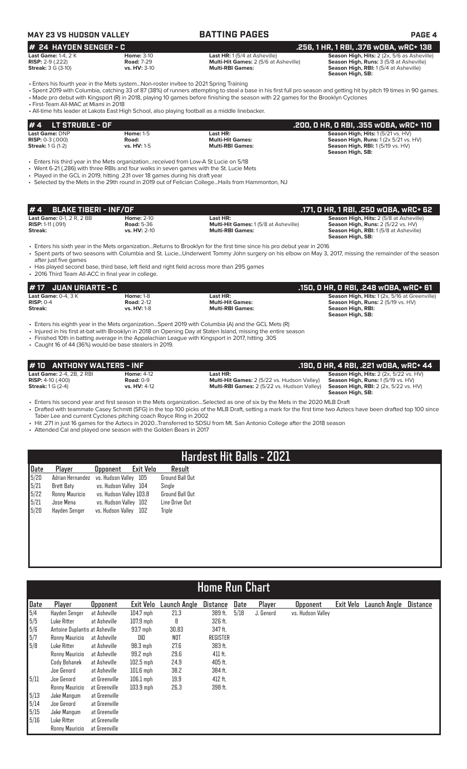# **MAY 23 VS HUDSON VALLEY BATTING PAGES PAGE 4**

| # 24 HAYDEN SENGER - C                                                          |                   |                                              | . 256, 1 HR, 1 RBI, .376 wOBA, wRC+ 138'       |
|---------------------------------------------------------------------------------|-------------------|----------------------------------------------|------------------------------------------------|
| <b>Last Game:</b> 1-4, 2 K                                                      | <b>Home:</b> 3-10 | <b>Last HR:</b> $1(5/4$ at Asheville)        | Season High, Hits: 2 (2x, 5/6 as Asheville)    |
| <b>RISP:</b> 2-9 (.222)                                                         | <b>Road: 7-29</b> | <b>Multi-Hit Games:</b> 2 (5/6 at Asheville) | <b>Season High, Runs: 3 (5/8 at Asheville)</b> |
| $\bullet$ $\bullet$ $\bullet$ $\bullet$ $\bullet$ $\bullet$ $\bullet$ $\bullet$ | $\cdots$          |                                              |                                                |

**256, 1 HR, 1 RBI, .376 wOBA, wRC+ 138**<br>HR: 1 (5/4 at Asheville) **256, 1 HR, 1 RBI, .376 wOBA, 5/6** as Asheville<br>Hit Games: 2 (5/6 at Asheville) **Season High, Runs:** 3 (5/8 at Asheville) **Streak: 3 G (3-10) <b>vs. HV:** 3-10 **vs. HV: 3-10 Multi-RBI Games: Season High, RBI: 1 (5/4 at Asheville) Season High, SB:** 

**Season High, SB:** 

• Enters his fourth year in the Mets system...Non-roster invitee to 2021 Spring Training

• Spent 2019 with Columbia, catching 33 of 87 (38%) of runners attempting to steal a base in his first full pro season and getting hit by pitch 19 times in 90 games. • Made pro debut with Kingsport (R) in 2018, playing 10 games before finishing the season with 22 games for the Brooklyn Cyclones

• First-Team All-MAC at Miami in 2018

• All-time hits leader at Lakota East High School, also playing football as a middle linebacker.

| $\bm{\sharp}$ 4 LT STRUBLE - OF |                    |                         | .200, 0 HR, 0 RBI, .355 w0BA, wRC+ 110 '              |
|---------------------------------|--------------------|-------------------------|-------------------------------------------------------|
| <b>Last Game: DNP</b>           | <b>Home: 1-5</b>   | Last HR:                | Season High, Hits: 1(5/21 vs. HV)                     |
| <b>RISP:</b> $0-3(0.000)$       | Road:              | <b>Multi-Hit Games:</b> | <b>Season High, Runs:</b> $1(2x 5/21 \text{ vs. HV})$ |
| <b>Streak:</b> 1 G (1-2)        | <b>vs. HV: 1-5</b> | <b>Multi-RBI Games:</b> | Season High, RBI: 1(5/19 vs. HV)                      |
|                                 |                    |                         | Season High, SB:                                      |

• Enters his third year in the Mets organization...received from Low-A St Lucie on 5/18

• Went 6-21 (.286) with three RBIs and four walks in seven games with the St. Lucie Mets

• Played in the GCL in 2019, hitting .231 over 18 games during his draft year

• Selected by the Mets in the 29th round in 2019 out of Felician College...Hails from Hammonton, NJ

| #4 BLAKE TIBERI - INF/OF         |                     |                                             | .171. 0 HR. 1 RBI. .250 w0BA. wRC+ 62          |
|----------------------------------|---------------------|---------------------------------------------|------------------------------------------------|
| <b>Last Game: 0-1, 2 R, 2 BB</b> | <b>Home: 2-10</b>   | Last HR:                                    | <b>Season High, Hits: 2 (5/8 at Asheville)</b> |
| <b>RISP:</b> 1-11 $(.091)$       | <b>Road: 5-36</b>   | <b>Multi-Hit Games: 1(5/8 at Asheville)</b> | Season High, Runs: 2 (5/22 vs. HV)             |
| Streak:                          | <b>vs. HV: 2-10</b> | <b>Multi-RBI Games:</b>                     | <b>Season High, RBI:</b> 1(5/8 at Asheville)   |
|                                  |                     |                                             | Season High, SB:                               |

• Enters his sixth year in the Mets organization...Returns to Brooklyn for the first time since his pro debut year in 2016

• Spent parts of two seasons with Columbia and St. Lucie...Underwent Tommy John surgery on his elbow on May 3, 2017, missing the remainder of the season after just five games

• Has played second base, third base, left field and right field across more than 295 games • 2016 Third Team All-ACC in final year in college.

### **# 17 JUAN URIARTE - C .150, 0 HR, 0 RBI, .248 wOBA, wRC+ 61 Last Game:** 0-4, 3 K **Home:** 1-8 **Last HR: Season High, Hits:** 1 (2x, 5/16 at Greenville) **RISP:** 0-4 **Road:** 2-12 **Multi-Hit Games: Season High, Runs:** 2 (5/19 vs. HV)

**Streak: vs. HV:** 1-8 **Multi-RBI Games: Season High, RBI:** 

• Enters his eighth year in the Mets organization...Spent 2019 with Columbia (A) and the GCL Mets (R)

• Injured in his first at-bat with Brooklyn in 2018 on Opening Day at Staten Island, missing the entire season

• Finished 10th in batting average in the Appalachian League with Kingsport in 2017, hitting .305

• Caught 16 of 44 (36%) would-be base stealers in 2019.

| #10 ANTHONY WALTERS - INF        |                   |                                                    | .190, 0 HR, 4 RBI, .221 w0BA, wRC+ 44                    |
|----------------------------------|-------------------|----------------------------------------------------|----------------------------------------------------------|
| <b>Last Game: 2-4, 2B, 2 RBI</b> | <b>Home: 4-12</b> | Last HR:                                           | <b>Season High, Hits:</b> $2$ ( $2x$ , $5/22$ vs. $HV$ ) |
| <b>RISP:</b> 4-10 $(.400)$       | Road: $0-9$       | <b>Multi-Hit Games:</b> 2 (5/22 vs. Hudson Valley) | <b>Season High, Runs: 1(5/19 vs. HV)</b>                 |
| <b>Streak:</b> $1 G (2-4)$       | vs. HV: 4-12      | <b>Multi-RBI Games:</b> 2 (5/22 vs. Hudson Valley) | <b>Season High, RBI:</b> 2 (2x, 5/22 vs. HV)             |
|                                  |                   |                                                    | Season High, SB:                                         |

• Enters his second year and first season in the Mets organization...Selected as one of six by the Mets in the 2020 MLB Draft • Drafted with teammate Casey Schmitt (SFG) in the top 100 picks of the MLB Draft, setting a mark for the first time two Aztecs have been drafted top 100 since

Taber Lee and current Cyclones pitching coach Royce Ring in 2002

• Hit .271 in just 16 games for the Aztecs in 2020...Transferred to SDSU from Mt. San Antonio College after the 2018 season

• Attended Cal and played one season with the Golden Bears in 2017

# **Hardest Hit Balls - 2021**

| Player            | Opponent |                  | Result                                                                                                                           |
|-------------------|----------|------------------|----------------------------------------------------------------------------------------------------------------------------------|
|                   |          | -105             | <b>Ground Ball Out</b>                                                                                                           |
| <b>Brett Baty</b> |          |                  | Sinale                                                                                                                           |
| Ronny Mauricio    |          |                  | <b>Ground Ball Out</b>                                                                                                           |
| Jose Mena         |          |                  | Line Drive Out                                                                                                                   |
| Hayden Senger     |          | 102              | Triple                                                                                                                           |
|                   |          | Adrian Hernandez | Exit Velo<br>vs. Hudson Vallev<br>vs. Hudson Valley 104<br>vs. Hudson Valley 103.8<br>vs. Hudson Valley 102<br>vs. Hudson Vallev |

# **Home Run Chart**

| Date                                                                | Player                         | <b>Opponent</b> | <b>Exit Velo</b> | Launch Angle | <b>Distance</b> | Date | Player    | <b>Opponent</b>   | Exit Velo | Launch Angle | <b>Distance</b> |
|---------------------------------------------------------------------|--------------------------------|-----------------|------------------|--------------|-----------------|------|-----------|-------------------|-----------|--------------|-----------------|
|                                                                     | Hayden Senger                  | at Asheville    | $104.7$ mph      | 21.3         | 389 ft.         | 5/18 | J. Genord | vs. Hudson Valley |           |              |                 |
| $\begin{array}{ c } \hline 5/4 \\ \hline 5/5 \\ \hline \end{array}$ | Luke Ritter                    | at Asheville    | $107.9$ mph      | 8            | 326 ft.         |      |           |                   |           |              |                 |
| $\begin{bmatrix} 5/6 \\ 5/7 \\ 5/8 \end{bmatrix}$                   | Antoine Duplantis at Asheville |                 | 93.7 mph         | 30.83        | 347 ft.         |      |           |                   |           |              |                 |
|                                                                     | Ronny Mauricio                 | at Asheville    | DID              | <b>NOT</b>   | <b>REGISTER</b> |      |           |                   |           |              |                 |
|                                                                     | Luke Ritter                    | at Asheville    | $98.3$ mph       | 27.6         | 383 ft.         |      |           |                   |           |              |                 |
|                                                                     | Ronny Mauricio                 | at Asheville    | 99.2 mph         | 29.6         | 411 ft.         |      |           |                   |           |              |                 |
|                                                                     | Cody Bohanek                   | at Asheville    | $102.5$ mph      | 24.9         | 405 ft.         |      |           |                   |           |              |                 |
|                                                                     | Joe Genord                     | at Asheville    | $101.6$ mph      | 38.2         | 384 ft.         |      |           |                   |           |              |                 |
| 5/11                                                                | Joe Genord                     | at Greenville   | $106.1$ mph      | 19.9         | 412 ft.         |      |           |                   |           |              |                 |
|                                                                     | Ronny Mauricio                 | at Greenville   | $103.9$ mph      | 26.3         | 398 ft.         |      |           |                   |           |              |                 |
| 5/13                                                                | Jake Mangum                    | at Greenville   |                  |              |                 |      |           |                   |           |              |                 |
| 5/14                                                                | Joe Genord                     | at Greenville   |                  |              |                 |      |           |                   |           |              |                 |
| 5/15                                                                | Jake Mangum                    | at Greenville   |                  |              |                 |      |           |                   |           |              |                 |
| 5/16                                                                | Luke Ritter                    | at Greenville   |                  |              |                 |      |           |                   |           |              |                 |
|                                                                     | Ronny Mauricio                 | at Greenville   |                  |              |                 |      |           |                   |           |              |                 |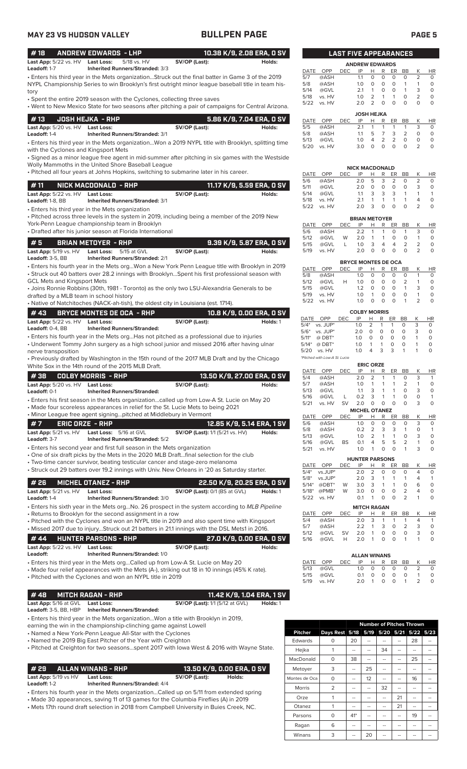### **MAY 23 VS HUDSON VALLEY BULLPEN PAGE PAGE 5** • Enters his fourth year in the Mets org...Won a New York Penn League title with Brooklyn in 2019 • Struck out 40 batters over 28.2 innings with Brooklyn...Spent his first professional season with GCL Mets and Kingsport Mets • Joins Ronnie Robbins (30th, 1981 - Toronto) as the only two LSU-Alexandria Generals to be drafted by a MLB team in school history • Native of Natchitoches (NACK-ah-tish), the oldest city in Louisiana (est. 1714). **# 5 BRIAN METOYER - RHP 9.39 K/9, 5.87 ERA, 0 SV Last App:** 5/19 vs. HV **Last Loss:** 5/15 at GVL **SV/OP (Last): Holds:** Holds: **Holds: Holds: Leadoff:** 3-5. BB **Inherited Runners/Stranded:** 2/1 **Inherited Runners/Stranded:** 2/1 • Enters his third year in the Mets organization...Won a 2019 NYPL title with Brooklyn, splitting time with the Cyclones and Kingsport Mets • Signed as a minor league free agent in mid-summer after pitching in six games with the Westside Wolly Mammoths in the United Shore Baseball League • Pitched all four years at Johns Hopkins, switching to submarine later in his career. **# 13 JOSH HEJKA - RHP 5.86 K/9, 7.04 ERA, 0 SV Last App:** 5/20 vs. HV **Last Loss:** SV/OP (Last): SV/OP (Last): Holds: Leadoff: 1-4 **Interited Runners/Stranded:** 3/1 **Inherited Runners/Stranded: 3/1** • Enters his third year in the Mets organization • Pitched across three levels in the system in 2019, including being a member of the 2019 New York-Penn League championship team in Brooklyn • Drafted after his junior season at Florida International **# 11 NICK MACDONALD - RHP 11.17 K/9, 5.59 ERA, 0 SV Last App:** 5/22 vs. HV **Last Loss: SV/OP (Last):** SV/OP (Last): Holds:<br>Leadoff: 1-8, BB **Inherited Runners/Stranded:** 3/1 **Inherited Runners/Stranded: 3/1** • Enters his third year in the Mets organization...Struck out the final batter in Game 3 of the 2019 NYPL Championship Series to win Brooklyn's first outright minor league baseball title in team history • Spent the entire 2019 season with the Cyclones, collecting three saves • Went to New Mexico State for two seasons after pitching a pair of campaigns for Central Arizona. **# 18 ANDREW EDWARDS - LHP 10.38 K/9, 2.08 ERA, 0 SV Last App:**  $5/22$  vs. HV **Last Loss:** 5/18 vs. HV **SV/OP (Last): Leadoff:** 1-7 **Inherited Runners/Stranded:** 3/3 **Inherited Runners/Stranded:** 3/3 **# 43 BRYCE MONTES DE OCA - RHP 10.8 K/9, 0.00 ERA, 0 SV**

|                                  | LIT TY LUNIUL MUNILU DE UUA LINIE  |               | 10.0 K) 0, 0.00 LKA, 0 0 V |
|----------------------------------|------------------------------------|---------------|----------------------------|
| Last App: 5/22 vs. HV Last Loss: |                                    | SV/OP (Last): | Holds: 1                   |
| <b>Leadoff:</b> $0-4$ . $BB$     | <b>Inherited Runners/Stranded:</b> |               |                            |

• Enters his fourth year in the Mets org...Has not pitched as a professional due to injuries • Underwent Tommy John surgery as a high school junior and missed 2016 after having ulnar nerve transposition

• Previously drafted by Washington in the 15th round of the 2017 MLB Draft and by the Chicago White Sox in the 14th round of the 2015 MLB Draft.

| # 38     COLBY MORRIS  - RHP ' |                                    |               | , 13.50 K/9, 27.00 ERA, 0 SV' |
|--------------------------------|------------------------------------|---------------|-------------------------------|
| Last App: $5/20$ vs. $HV$      | Last Loss:                         | SV/OP (Last): | Holds:                        |
| <b>Leadoff:</b> 0-1            | <b>Inherited Runners/Stranded:</b> |               |                               |

• Enters his first season in the Mets organization...called up from Low-A St. Lucie on May 20

• Made four scoreless appearances in relief for the St. Lucie Mets to being 2021 • Minor League free agent signing...pitched at Middlebury in Vermon

|                              | • ivilitor League free agent signifigpitched at iviludiebury in vermont |                                        |        |
|------------------------------|-------------------------------------------------------------------------|----------------------------------------|--------|
| ' ERIC ORZE - RHP .<br>#7    |                                                                         | 12.85 K/9. 5.14 ERA. 1 SV              |        |
| <b>Last App:</b> 5/21 vs. HV | <b>Last Loss:</b> 5/16 at GVL                                           | <b>SV/OP (Last):</b> 1/1 (5/21 vs. HV) | Holds: |
| <b>Leadoff:</b> 3-7          | <b>Inherited Runners/Stranded: 5/2</b>                                  |                                        |        |
| ____                         |                                                                         |                                        |        |

• Enters his second year and first full season in the Mets organization

• One of six draft picks by the Mets in the 2020 MLB Draft...final selection for the club

• Two-time cancer survivor, beating testicular cancer and stage-zero melanoma • Struck out 29 batters over 19.2 innings with Univ. New Orleans in '20 as Saturday starter.

| # 26 MICHEL OTANEZ - RHP                  |                                                      | 22.50 K/9. 20.25 ERA. 0 SV           |          |
|-------------------------------------------|------------------------------------------------------|--------------------------------------|----------|
| Last App: $5/21$ vs. $HV$<br>Leadoff: 1-4 | Last Loss:<br><b>Inherited Runners/Stranded: 3/0</b> | <b>SV/OP (Last):</b> 0/1 (BS at GVL) | Holds: 1 |

• Enters his sixth year in the Mets org...No. 26 prospect in the system according to *MLB Pipeline* • Returns to Brooklyn for the second assignment in a row

• Pitched with the Cyclones and won an NYPL title in 2019 and also spent time with Kingsport • Missed 2017 due to injury...Struck out 21 batters in 21.1 innings with the DSL Mets1 in 2016.

|          |                                  | #44 HUNTER PARSONS - RHP                                                        | 27.0 K/9, 0.00 ERA, 0 SV |        |
|----------|----------------------------------|---------------------------------------------------------------------------------|--------------------------|--------|
|          | Last App: 5/22 vs. HV Last Loss: |                                                                                 | SV/OP (Last):            | Holds: |
| Leadoff: |                                  | <b>Inherited Runners/Stranded: 1/0</b>                                          |                          |        |
|          |                                  | • Enters his third year in the Mets orgCalled up from Low-A St. Lucie on May 20 |                          |        |

• Made four relief appearances with the Mets (A-), striking out 18 in 10 innings (45% K rate).

• Pitched with the Cyclones and won an NYPL title in 2019

### **# 48 MITCH RAGAN - RHP 11.42 K/9, 1.04 ERA, 1 SV**

**Last App:** 5/16 at GVL **Last Loss: SV/OP (Last):** 1/1 (5/12 at GVL) **Holds:** 1 **Inherited Runners/Stranded:** 

- Enters his third year in the Mets organization...Won a title with Brooklyn in 2019,
- earning the win in the championship-clinching game against Lowell

• Named a New York-Penn League All-Star with the Cyclones

• Named the 2019 Big East Pitcher of the Year with Creighton

• Pitched at Creighton for two seasons...spent 2017 with Iowa West & 2016 with Wayne State.

### **# 29 ALLAN WINANS - RHP 13.50 K/9, 0.00 ERA, 0 SV**

**Last App:** 5/19 vs HV **Last Loss:** SV/OP (Last): Holds:<br>
Leadoff: 1-2 Inherited Runners/Stranded: 4/4

**Leadoff:** 1-2 **Inherited Runners/Stranded:** 4/4

• Enters his fourth year in the Mets organization...Called up on 5/11 from extended spring

• Made 30 appearances, saving 11 of 13 games for the Columbia Fireflies (A) in 2019 • Mets 17th round draft selection in 2018 from Campbell University in Buies Creek, NC.

|      |        | LAST FIVE APPEARANCES |                       |                |                |                |                |                |          |
|------|--------|-----------------------|-----------------------|----------------|----------------|----------------|----------------|----------------|----------|
|      |        |                       | <b>ANDREW EDWARDS</b> |                |                |                |                |                |          |
| DATE | OPP    | DEC                   | IP                    | н              | R              | ER             | <b>BB</b>      | Κ              | HR       |
| 5/7  | @ASH   |                       | 1.1                   | $\Omega$       | 0              | O              | O              | $\overline{2}$ | $\Omega$ |
| 5/8  | @ASH   |                       | 1.0                   | $\Omega$       | $\Omega$       | O              | 1              | 1              | $\Omega$ |
| 5/14 | @GVL   |                       | 2.1                   | 1              | 0              | O              | 1              | 3              | 0        |
| 5/18 | vs. HV |                       | 1.0                   | $\overline{2}$ | 1              | 1              | O              | $\overline{2}$ | $\Omega$ |
| 5/22 | vs. HV |                       | 2.0                   | $\overline{2}$ | 0              | O              | O              | $\Omega$       | $\Omega$ |
|      |        |                       | <b>JOSH HEJKA</b>     |                |                |                |                |                |          |
| DATE | OPP    | <b>DEC</b>            | IP                    | н              | R              | ER             | <b>BB</b>      | Κ              | HR       |
| 5/5  | @ASH   |                       | 2.1                   | 1              | 1              | 1              | 1              | 3              | $\Omega$ |
| 5/8  | @ASH   |                       | 1.1                   | 5              | 7              | 3              | $\overline{2}$ | $\Omega$       | $\Omega$ |
| 5/13 | @GVL   |                       | 1.0                   | 4              | $\overline{2}$ | $\overline{2}$ | O              | 0              | $\Omega$ |
| 5/20 | vs. HV |                       | 3.0                   | O              | $\Omega$       | O              | 0              | $\overline{2}$ | $\Omega$ |

|      |        |      | <b>NICK MACDONALD</b> |    |    |    |           |   |    |
|------|--------|------|-----------------------|----|----|----|-----------|---|----|
| DATE | OPP    | DEC. | IP                    | н  | R  | ER | <b>BB</b> | Κ | ΗR |
| 5/6  | @ASH   |      | 2 O                   | 5. | -3 | 2  | O         |   |    |
| 5/11 | @GVL   |      | 2 O                   | Ω  | Ω  | Ω  | 0         | З | O  |
| 5/14 | @GVL   |      | 11                    | 3  | 3  | 3  |           |   |    |
| 5/18 | vs. HV |      | 21                    |    |    |    |           | 4 |    |
| 5/22 | vs. HV |      | 2 በ                   |    |    |    | O         |   |    |

|      |        |      | <b>BRIAN METOYER</b> |                |    |    |               |   |    |
|------|--------|------|----------------------|----------------|----|----|---------------|---|----|
| DATE | OPP    | DFC. | IP                   | н              | R  | FR | <b>BB</b>     |   | HR |
| 5/6  | @ASH   |      | 2.2                  | $\overline{1}$ | 1  | O  |               | ₹ |    |
| 5/12 | @GVL   | W    | 2.0                  | 1              | 1  | O  | O             |   | O  |
| 5/15 | @GVL   |      | 1 <sub>O</sub>       | 3              | 4  | Δ  | $\mathcal{L}$ |   |    |
| 5/19 | vs. HV |      | 2 O                  | O              | O. | O  | O             |   |    |
|      |        |      |                      |                |    |    |               |   |    |

| <b>BRYCE MONTES DE OCA</b> |      |            |          |          |    |               |   |    |  |
|----------------------------|------|------------|----------|----------|----|---------------|---|----|--|
| OPP                        | DEC. | IP         | н        | R        | FR | <b>B</b> R    |   | НR |  |
| @ASH                       |      | 1 $\Omega$ | O        | O        | O  | O             |   |    |  |
| @GVL                       | н    | 1 $\Omega$ | O        | O        | O  | $\mathcal{L}$ |   | O  |  |
| @GVL                       |      | 12         | $\Omega$ | O        | O  | 1             | З |    |  |
| vs. HV                     |      | 1 $\Omega$ |          | Ω        | O  | O             |   |    |  |
| vs. HV                     |      | 1 ∩        |          | $\Omega$ | Ω  |               |   |    |  |
|                            |      |            |          |          |    |               |   |    |  |

|         |                               |      | <b>COLBY MORRIS</b> |               |   |    |    |   |           |
|---------|-------------------------------|------|---------------------|---------------|---|----|----|---|-----------|
|         | DATE OPP                      | DFC. | IP                  | н             | R | ER | ВB |   | <b>HR</b> |
| $5/4*$  | vs. JUP*                      |      | 1.0                 | $\mathcal{L}$ |   |    | O  | 3 | O         |
|         | $5/6^*$ vs. JUP*              |      | 2 O                 | Ω             | 0 | O  | O  | 3 | O         |
| $5/11*$ | $@$ DBT*                      |      | 1.0                 | Ω             | O | O  | O  |   | O         |
| $5/14*$ | $@$ DBT*                      |      | 1.0                 |               |   | O  | O  |   | O         |
| 5/20    | vs. HV                        |      | 1 O                 | Δ             | 3 | 3  |    |   |           |
|         | *Pitched with Low-A St. Lucie |      |                     |               |   |    |    |   |           |

|  |  |  | <b>ERIC OF</b> |  |
|--|--|--|----------------|--|

|             |         |     |                       | <b>ERIC ORZE</b> |          |          |                |          |           |
|-------------|---------|-----|-----------------------|------------------|----------|----------|----------------|----------|-----------|
| <b>DATE</b> | OPP     | DEC | IP                    | н                | R        | ER       | <b>BB</b>      | Κ        | <b>HR</b> |
| 5/4         | @ASH    |     | 2.0                   | 2                | 1        | 1        | O              | 3        | 1         |
| 5/7         | @ASH    |     | 1.0                   | 1                |          |          | 2              | 1        | 0         |
| 5/13        | @GVL    |     | 1.1                   | 3                |          |          | O              | 3        | 0         |
| 5/16        | @GVL    | L.  | 0.2                   | 3                |          | 1        | 0              | 0        | 1         |
| 5/21        | vs. HV  | SV  | 2.0                   | 0                | $\Omega$ | O        | 0              | 3        | 0         |
|             |         |     | <b>MICHEL OTANEZ</b>  |                  |          |          |                |          |           |
| <b>DATE</b> | OPP     | DEC | IP                    | н                | R        | ER       | BB             | Κ        | <b>HR</b> |
| 5/6         | @ASH    |     | 1.0                   | $\Omega$         | 0        | $\Omega$ | 0              | 3        | O         |
| 5/8         | @ASH    |     | 0.2                   | $\overline{2}$   | 3        | 3        | 1              | $\Omega$ | 1         |
| 5/13        | @GVL    |     | 1.0                   | $\overline{2}$   | 1        | 1        | $\Omega$       | 3        | 0         |
| 5/16        | @GVL    | BS  | 0.1                   | 4                | 5        | 5        | $\overline{2}$ | 1        | 0         |
| 5/21        | vs. HV  |     | 1.0                   | 1                | 0        | 0        | 1              | 3        | 0         |
|             |         |     | <b>HUNTER PARSONS</b> |                  |          |          |                |          |           |
| DATE        | OPP     | DEC | IP                    | н                | R        | ER       | <b>BB</b>      | Κ        | HR        |
| $5/4*$      | vs.JUP* |     | 2.0                   | 2                | 0        | 0        | 0              | 4        | 0         |

|             | $5/8^*$ vs. JUP* |                  | 2.0 3 1 1 1           |          |          |          |               |          |          |
|-------------|------------------|------------------|-----------------------|----------|----------|----------|---------------|----------|----------|
|             | 5/14* @DBT*      | W                | $3.0 \quad 3 \quad 1$ |          |          | 1        | Ω             | 6        | $\Omega$ |
|             | 5/18* @PMB*      | W                | 3.0                   | $\Omega$ | $\Omega$ | $\Omega$ | $\mathcal{P}$ | $\Delta$ | $\Omega$ |
|             | 5/22 vs. HV      |                  | 0.1                   |          |          | 1 0 0 2  |               |          | O.       |
|             |                  |                  | <b>MITCH RAGAN</b>    |          |          |          |               |          |          |
| <b>DATE</b> | ∩DD              | NEC ID H D ED RR |                       |          |          |          |               |          | HЕ       |

| DATE OPP DEC IP H R ER BB K HR |               |  |  |  |                |
|--------------------------------|---------------|--|--|--|----------------|
| 5/4 @ASH                       | 2.0 3 1 1 1 4 |  |  |  | $\overline{1}$ |
| 5/7 @ASH 2.2 1 3 0 2 3         |               |  |  |  | $\Omega$       |
| 5/12 @GVL SV 2.0 1 0 0 0 3     |               |  |  |  | O              |
|                                |               |  |  |  | $\Omega$       |
|                                |               |  |  |  |                |

|      |          |                  | <b>ALLAN WINANS</b> |        |              |          |          |               |           |
|------|----------|------------------|---------------------|--------|--------------|----------|----------|---------------|-----------|
|      | DATE OPP | DEC IP H R ER BB |                     |        |              |          |          | K.            | <b>HR</b> |
| 5/13 | @GVL     |                  | 1 O                 |        | 0 0          | $\Omega$ | $\Omega$ | $\mathcal{L}$ |           |
| 5/15 | @GVL     |                  | O 1                 | $\cap$ | $\Omega$     | $\Omega$ | $\Omega$ |               |           |
| 5/19 | vs. HV   |                  | 20                  |        | <sup>n</sup> | $\Omega$ | -1       | $\mathcal{P}$ |           |

|                |                |       |    |    |    | <b>Number of Pitches Thrown</b> |    |
|----------------|----------------|-------|----|----|----|---------------------------------|----|
| <b>Pitcher</b> | Days Rest 5/18 |       |    |    |    | 5/19 5/20 5/21 5/22 5/23        |    |
| Edwards        | ∩              | 20    |    |    |    | 28                              |    |
| Hejka          |                |       |    | 34 |    |                                 |    |
| MacDonald      | O              | 38    | -- | -- | -- | 25                              |    |
| Metoyer        | 3              |       | 25 |    |    | --                              |    |
| Montes de Oca  | 0              |       | 12 | -- | -- | 16                              |    |
| <b>Morris</b>  | $\overline{2}$ |       |    | 32 |    |                                 |    |
| Orze           | 1              |       |    |    | 21 |                                 |    |
| Otanez         |                |       | -- | -- | 21 | --                              | -- |
| Parsons        | O              | $41*$ |    |    |    | 19                              |    |
| Ragan          | 6              |       |    | -- | -- | --                              |    |
| Winans         | 3              |       | 20 |    |    |                                 |    |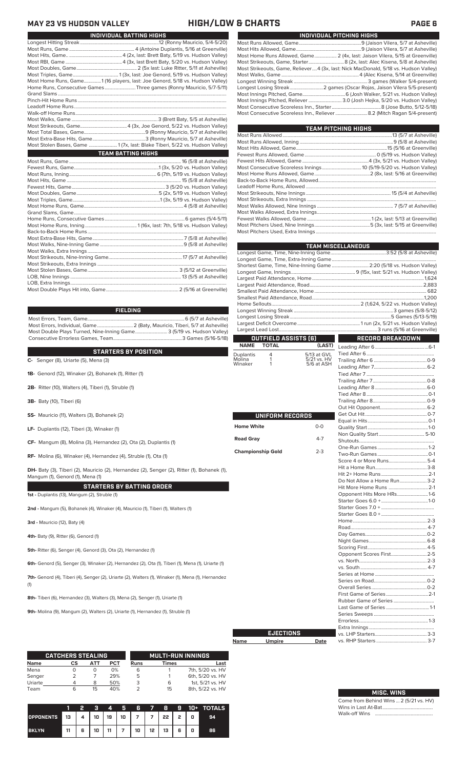### **MAY 23 VS HUDSON VALLEY HIGH/LOW & CHARTS PAGE 6**

| INDIVIDUAL BATTING HIGHS                                                     |
|------------------------------------------------------------------------------|
|                                                                              |
|                                                                              |
|                                                                              |
|                                                                              |
|                                                                              |
|                                                                              |
| Most Home Runs, Game1 (16 players, last: Joe Genord, 5/18 vs. Hudson Valley) |
| Home Runs, Consecutive Games Three games (Ronny Mauricio, 5/7-5/11)          |
|                                                                              |
|                                                                              |
|                                                                              |
|                                                                              |
|                                                                              |
|                                                                              |
|                                                                              |
|                                                                              |
| Most Stolen Bases, Game  1 (7x, last: Blake Tiberi, 5/22 vs. Hudson Valley)  |
| <b>TEAM BATTING HIGHS</b>                                                    |
|                                                                              |
|                                                                              |
|                                                                              |
|                                                                              |
|                                                                              |
|                                                                              |
|                                                                              |
|                                                                              |
|                                                                              |
|                                                                              |
|                                                                              |
|                                                                              |
|                                                                              |
|                                                                              |
|                                                                              |
|                                                                              |
|                                                                              |
|                                                                              |
|                                                                              |
|                                                                              |
|                                                                              |

### **FIELDING**

Most Errors, Team, Game...............................................................................6 (5/7 at Asheville) .<br>2 (Baty, Mauricio, Tiberi, 5/7 at Asheville)<br>e........................... 3 (5/19 vs. Hudson Valley) Most Double Plays Turned, Nine-Inning Game.......................... 3 (5/19 vs. Hudson Valley) Consecutive Errorless Games, Team.

**C-** Senger (8), Uriarte (5), Mena (3) **STARTERS BY POSITION**

- **1B-** Genord (12), Winaker (2), Bohanek (1), Ritter (1)
- **2B-** Ritter (10), Walters (4), Tiberi (1), Struble (1)
- **3B-** Baty (10), Tiberi (6)
- **SS-** Mauricio (11), Walters (3), Bohanek (2)
- **LF-** Duplantis (12), Tiberi (3), Winaker (1)
- **CF-** Mangum (8), Molina (3), Hernandez (2), Ota (2), Duplantis (1)
- **RF-** Molina (6), Winaker (4), Hernandez (4), Struble (1), Ota (1)

**DH-** Baty (3), Tiberi (2), Mauricio (2), Hernandez (2), Senger (2), Ritter (1), Bohanek (1), Mangum (1), Genord (1), Mena (1)

**STARTERS BY BATTING ORDER 1st -** Duplantis (13), Mangum (2), Struble (1)

**2nd -** Mangum (5), Bohanek (4), Winaker (4), Mauricio (1), Tiberi (1), Walters (1)

**3rd -** Mauricio (12), Baty (4)

**4th-** Baty (9), Ritter (6), Genord (1)

**5th-** Ritter (6), Senger (4), Genord (3), Ota (2), Hernandez (1)

**6th-** Genord (5), Senger (3), Winaker (2), Hernandez (2), Ota (1), Tiberi (1), Mena (1), Uriarte (1)

**7th-** Genord (4), Tiberi (4), Senger (2), Uriarte (2), Walters (1), Winaker (1), Mena (1), Hernandez (1)

**8th-** Tiberi (6), Hernandez (3), Walters (3), Mena (2), Senger (1), Uriarte (1)

**9th-** Molina (9), Mangum (2), Walters (2), Uriarte (1), Hernandez (1), Struble (1)

|             | <b>CATCHERS STEALING</b> |     |            |      | <b>MULTI-RUN INNINGS</b> |                  |
|-------------|--------------------------|-----|------------|------|--------------------------|------------------|
| <b>Name</b> | СS                       | АТТ | <b>PCT</b> | Runs | <b>Times</b>             | Last             |
| Mena        |                          | O   | 0%         | 6    |                          | 7th, 5/20 vs. HV |
| Senger      |                          |     | 29%        | 5    |                          | 6th, 5/20 vs. HV |
| Uriarte     |                          | 8   | 50%        | 3    | 6                        | 1st. 5/21 vs. HV |
| Team        | 6                        | 15  | 40%        |      | 15                       | 8th, 5/22 vs. HV |

|                                    |    | 2 | R |  |                                    |  |  | 4 5 6 7 8 9 10 + TOTALS |
|------------------------------------|----|---|---|--|------------------------------------|--|--|-------------------------|
| OPPONENTS 13 4 10 19 10 7 7 22 2 0 |    |   |   |  |                                    |  |  | 94                      |
| <b>BKLYN</b>                       | 11 |   |   |  | 6   10   11   7   10   12   13   6 |  |  | 86                      |

|                                                                                     | INDIVIDUAL PITCHING HIGHS |
|-------------------------------------------------------------------------------------|---------------------------|
|                                                                                     |                           |
|                                                                                     |                           |
| Most Home Runs Allowed, Game 2 (4x, last: Jaison Vilera, 5/15 at Greenville)        |                           |
|                                                                                     |                           |
| Most Strikeouts, Game, Reliever4 (3x, last: Nick MacDonald, 5/18 vs. Hudson Valley) |                           |
|                                                                                     |                           |
|                                                                                     |                           |
|                                                                                     |                           |
|                                                                                     |                           |
| Most Innings Pitched, Reliever  3.0 (Josh Hejka, 5/20 vs. Hudson Valley)            |                           |
|                                                                                     |                           |
| Most Consecutive Scoreless Inn., Reliever  8.2 (Mitch Ragan 5/4-present)            |                           |

| <b>TEAM PITCHING HIGHS</b>                                          |  |
|---------------------------------------------------------------------|--|
|                                                                     |  |
|                                                                     |  |
|                                                                     |  |
|                                                                     |  |
|                                                                     |  |
| Most Consecutive Scoreless Innings 10 (5/19-5/20 vs. Hudson Valley) |  |
|                                                                     |  |
|                                                                     |  |
|                                                                     |  |
|                                                                     |  |
|                                                                     |  |
|                                                                     |  |
|                                                                     |  |
|                                                                     |  |
|                                                                     |  |
|                                                                     |  |

|                   |                          |             | <b>TEAM MISCELLANEOUS</b>                                            |  |  |  |  |
|-------------------|--------------------------|-------------|----------------------------------------------------------------------|--|--|--|--|
|                   |                          |             |                                                                      |  |  |  |  |
|                   |                          |             |                                                                      |  |  |  |  |
|                   |                          |             | Shortest Game, Time, Nine-Inning Game  2:20 (5/18 vs. Hudson Valley) |  |  |  |  |
|                   |                          |             |                                                                      |  |  |  |  |
|                   |                          |             |                                                                      |  |  |  |  |
|                   |                          |             |                                                                      |  |  |  |  |
|                   |                          |             |                                                                      |  |  |  |  |
|                   |                          |             |                                                                      |  |  |  |  |
|                   |                          |             |                                                                      |  |  |  |  |
|                   |                          |             |                                                                      |  |  |  |  |
|                   |                          |             |                                                                      |  |  |  |  |
|                   |                          |             |                                                                      |  |  |  |  |
|                   | OUTFIELD ASSISTS [6]     |             | RECORD BREAKDOWN                                                     |  |  |  |  |
| <b>NAME</b>       | <b>TOTAL</b>             | (LAST)      |                                                                      |  |  |  |  |
| Duplantis         | 4                        | 5/13 at GVL |                                                                      |  |  |  |  |
| Molina            | 1                        | 5/21 vs. HV |                                                                      |  |  |  |  |
| Winaker           | 1                        | 5/6 at ASH  |                                                                      |  |  |  |  |
|                   |                          |             |                                                                      |  |  |  |  |
|                   |                          |             |                                                                      |  |  |  |  |
|                   |                          |             |                                                                      |  |  |  |  |
|                   |                          |             |                                                                      |  |  |  |  |
|                   |                          |             |                                                                      |  |  |  |  |
|                   |                          |             |                                                                      |  |  |  |  |
|                   | UNIFORM RECORDS          |             |                                                                      |  |  |  |  |
|                   |                          |             |                                                                      |  |  |  |  |
| <b>Home White</b> |                          | $O-O$       |                                                                      |  |  |  |  |
|                   |                          |             |                                                                      |  |  |  |  |
| <b>Road Gray</b>  |                          | $4 - 7$     |                                                                      |  |  |  |  |
|                   |                          |             |                                                                      |  |  |  |  |
|                   | <b>Championship Gold</b> | $2 - 3$     |                                                                      |  |  |  |  |
|                   |                          |             |                                                                      |  |  |  |  |
|                   |                          |             |                                                                      |  |  |  |  |
|                   |                          |             |                                                                      |  |  |  |  |
|                   |                          |             | Do Not Allow a Home Run 3-2                                          |  |  |  |  |
|                   |                          |             | Hit More Home Runs  2-1                                              |  |  |  |  |
|                   |                          |             | Opponent Hits More HRs1-6                                            |  |  |  |  |
|                   |                          |             |                                                                      |  |  |  |  |
|                   |                          |             |                                                                      |  |  |  |  |
|                   |                          |             |                                                                      |  |  |  |  |
|                   |                          |             |                                                                      |  |  |  |  |
|                   |                          |             |                                                                      |  |  |  |  |
|                   |                          |             |                                                                      |  |  |  |  |
|                   |                          |             |                                                                      |  |  |  |  |
|                   |                          |             |                                                                      |  |  |  |  |
|                   |                          |             | Opponent Scores First2-5                                             |  |  |  |  |
|                   |                          |             |                                                                      |  |  |  |  |
|                   |                          |             |                                                                      |  |  |  |  |
|                   |                          |             |                                                                      |  |  |  |  |
|                   |                          |             |                                                                      |  |  |  |  |
|                   |                          |             |                                                                      |  |  |  |  |
|                   |                          |             |                                                                      |  |  |  |  |
|                   |                          |             |                                                                      |  |  |  |  |
|                   |                          |             |                                                                      |  |  |  |  |
|                   |                          |             |                                                                      |  |  |  |  |
|                   |                          |             |                                                                      |  |  |  |  |
|                   | <b>EJECTIONS</b>         |             |                                                                      |  |  |  |  |
| Name              | <b>Umpire</b>            | Date        |                                                                      |  |  |  |  |
|                   |                          |             |                                                                      |  |  |  |  |

 $\mathcal{L}_{\mathcal{A}}$ 

| <b>MISC. WINS</b>                      |  |
|----------------------------------------|--|
| Come from Behind Wins  2 (5/21 vs. HV) |  |

Wins in Last At-Bat......................................... Walk-off Wins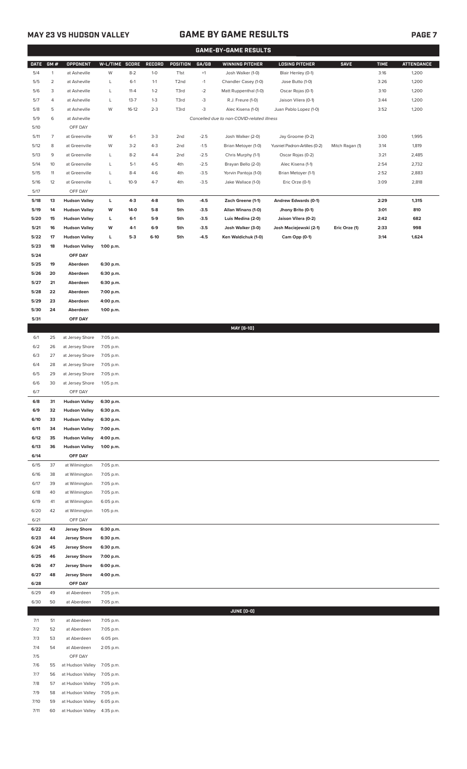# **MAY 23 VS HUDSON VALLEY GAME BY GAME RESULTS PAGE 7**

|              |                |                                              |                        |          |         |                   |        | <b>GAME-BY-GAME RESULTS</b>                |                               |                 |             |                   |
|--------------|----------------|----------------------------------------------|------------------------|----------|---------|-------------------|--------|--------------------------------------------|-------------------------------|-----------------|-------------|-------------------|
| <b>DATE</b>  | GM#            | <b>OPPONENT</b>                              | W-L/TIME SCORE         |          | RECORD  | POSITION          | GA/GB  | <b>WINNING PITCHER</b>                     | <b>LOSING PITCHER</b>         | <b>SAVE</b>     | <b>TIME</b> | <b>ATTENDANCE</b> |
| 5/4          | $\mathbf{1}$   | at Asheville                                 | W                      | $8 - 2$  | $1 - 0$ | T <sub>1st</sub>  | $+1$   | Josh Walker (1-0)                          | Blair Henley (0-1)            |                 | 3:16        | 1,200             |
| 5/5          | $\overline{2}$ | at Asheville                                 | L                      | $6-1$    | $1 - 1$ | T <sub>2</sub> nd | $-1$   | Chandler Casey (1-0)                       | Jose Butto (1-0)              |                 | 3:26        | 1,200             |
| 5/6          | 3              | at Asheville                                 | L                      | $11 - 4$ | $1 - 2$ | T3rd              | $-2$   | Matt Ruppenthal (1-0)                      | Oscar Rojas (0-1)             |                 | 3:10        | 1,200             |
| 5/7          | 4              | at Asheville                                 | L                      | $13 - 7$ | $1 - 3$ | T3rd              | $-3$   | R.J. Freure (1-0)                          | Jaison Vilera (0-1)           |                 | 3:44        | 1,200             |
| 5/8          | 5              | at Asheville                                 | W                      | $16-12$  | $2 - 3$ | T3rd              | $-3$   | Alec Kisena (1-0)                          | Juan Pablo Lopez (1-0)        |                 | 3:52        | 1,200             |
| 5/9          | 6              | at Asheville                                 |                        |          |         |                   |        | Cancelled due to non-COVID-related illness |                               |                 |             |                   |
| 5/10         |                | OFF DAY                                      |                        |          |         |                   |        |                                            |                               |                 |             |                   |
| 5/11         | 7              | at Greenville                                | W                      | $6-1$    | $3 - 3$ | 2nd               | $-2.5$ | Josh Walker (2-0)                          | Jay Groome (0-2)              |                 | 3:00        | 1,995             |
| 5/12         | 8              | at Greenville                                | W                      | $3-2$    | $4 - 3$ | 2nd               | $-1.5$ | Brian Metoyer (1-0)                        | Yusniel Padron-Artilles (0-2) | Mitch Ragan (1) | 3:14        | 1,819             |
| 5/13         | 9              | at Greenville                                | L                      | $8 - 2$  | $4 - 4$ | 2 <sub>nd</sub>   | $-2.5$ | Chris Murphy (1-1)                         | Oscar Rojas (0-2)             |                 | 3:21        | 2,485             |
| 5/14         | 10             | at Greenville                                | L                      | $5-1$    | $4 - 5$ | 4th               | $-2.5$ | Brayan Bello (2-0)                         | Alec Kisena (1-1)             |                 | 2:54        | 2,732             |
| 5/15         | 11             | at Greenville                                | L                      | $8 - 4$  | $4-6$   | 4th               | $-3.5$ | Yorvin Pantoja (1-0)                       | Brian Metoyer (1-1)           |                 | 2:52        | 2,883             |
| 5/16<br>5/17 | 12             | at Greenville<br>OFF DAY                     | L                      | $10-9$   | $4 - 7$ | 4th               | $-3.5$ | Jake Wallace (1-0)                         | Eric Orze (0-1)               |                 | 3:09        | 2,818             |
| 5/18         | 13             | <b>Hudson Valley</b>                         | L.                     | $4-3$    | $4 - 8$ | 5th               | $-4.5$ | Zach Greene (1-1)                          | Andrew Edwards (0-1)          |                 | 2:29        | 1,315             |
| 5/19         | 14             | <b>Hudson Valley</b>                         | w                      | 14-0     | $5-8$   | 5th               | $-3.5$ | Allan Winans (1-0)                         | Jhony Brito (0-1)             |                 | 3:01        | 810               |
| 5/20         | 15             | <b>Hudson Valley</b>                         | L                      | $6-1$    | $5-9$   | 5th               | $-3.5$ | Luis Medina (2-0)                          | Jaison Vilera (0-2)           |                 | 2:42        | 682               |
| 5/21         | 16             | <b>Hudson Valley</b>                         | w                      | 4-1      | $6-9$   | 5th               | $-3.5$ | Josh Walker (3-0)                          | Josh Maciejewski (2-1)        | Eric Orze (1)   | 2:33        | 998               |
| 5/22         | 17             | <b>Hudson Valley</b>                         | L                      | $5 - 3$  | $6-10$  | 5th               | $-4.5$ | Ken Waldichuk (1-0)                        | Cam Opp (0-1)                 |                 | 3:14        | 1,624             |
| 5/23         | 18             | <b>Hudson Valley</b>                         | 1:00 p.m.              |          |         |                   |        |                                            |                               |                 |             |                   |
| 5/24         |                | OFF DAY                                      |                        |          |         |                   |        |                                            |                               |                 |             |                   |
| 5/25         | 19             | Aberdeen                                     | 6:30 p.m.              |          |         |                   |        |                                            |                               |                 |             |                   |
| 5/26         | 20             | Aberdeen                                     | 6:30 p.m.              |          |         |                   |        |                                            |                               |                 |             |                   |
| 5/27         | 21             | Aberdeen                                     | 6:30 p.m.              |          |         |                   |        |                                            |                               |                 |             |                   |
| 5/28         | 22             | Aberdeen                                     | 7:00 p.m.              |          |         |                   |        |                                            |                               |                 |             |                   |
| 5/29         | 23             | Aberdeen                                     | 4:00 p.m.              |          |         |                   |        |                                            |                               |                 |             |                   |
| 5/30         | 24             | Aberdeen                                     | 1:00 p.m.              |          |         |                   |        |                                            |                               |                 |             |                   |
| 5/31         |                | OFF DAY                                      |                        |          |         |                   |        |                                            |                               |                 |             |                   |
|              |                |                                              |                        |          |         |                   |        | MAY [6-10]                                 |                               |                 |             |                   |
| 6/1          | 25             | at Jersey Shore                              | 7:05 p.m.              |          |         |                   |        |                                            |                               |                 |             |                   |
| 6/2          | 26             | at Jersey Shore                              | 7:05 p.m.              |          |         |                   |        |                                            |                               |                 |             |                   |
| 6/3          | 27             | at Jersey Shore                              | 7:05 p.m.              |          |         |                   |        |                                            |                               |                 |             |                   |
| 6/4          | 28             | at Jersey Shore                              | 7:05 p.m.              |          |         |                   |        |                                            |                               |                 |             |                   |
| 6/5          | 29             | at Jersey Shore                              | 7:05 p.m.              |          |         |                   |        |                                            |                               |                 |             |                   |
| 6/6          | 30             | at Jersey Shore                              | 1:05 p.m.              |          |         |                   |        |                                            |                               |                 |             |                   |
| 6/7          |                | OFF DAY                                      |                        |          |         |                   |        |                                            |                               |                 |             |                   |
| 6/8          | 31             | <b>Hudson Valley</b>                         | 6:30 p.m.              |          |         |                   |        |                                            |                               |                 |             |                   |
| 6/9<br>6/10  | 32<br>33       | <b>Hudson Valley</b>                         | 6:30 p.m.              |          |         |                   |        |                                            |                               |                 |             |                   |
| 6/11         | 34             | <b>Hudson Valley</b><br><b>Hudson Valley</b> | 6:30 p.m.<br>7:00 p.m. |          |         |                   |        |                                            |                               |                 |             |                   |
| 6/12         | 35             | <b>Hudson Valley</b>                         | 4:00 p.m.              |          |         |                   |        |                                            |                               |                 |             |                   |
| 6/13         | 36             | <b>Hudson Valley</b>                         | 1:00 p.m.              |          |         |                   |        |                                            |                               |                 |             |                   |
| 6/14         |                | OFF DAY                                      |                        |          |         |                   |        |                                            |                               |                 |             |                   |
| 6/15         | 37             | at Wilmington                                | 7:05 p.m.              |          |         |                   |        |                                            |                               |                 |             |                   |
| 6/16         | 38             | at Wilmington                                | 7:05 p.m.              |          |         |                   |        |                                            |                               |                 |             |                   |
| 6/17         | 39             | at Wilmington                                | 7:05 p.m.              |          |         |                   |        |                                            |                               |                 |             |                   |
| 6/18         | 40             | at Wilmington                                | 7:05 p.m.              |          |         |                   |        |                                            |                               |                 |             |                   |
| 6/19         | 41             | at Wilmington                                | 6:05 p.m.              |          |         |                   |        |                                            |                               |                 |             |                   |
| 6/20         | 42             | at Wilmington                                | 1:05 p.m.              |          |         |                   |        |                                            |                               |                 |             |                   |
| 6/21         |                | OFF DAY                                      |                        |          |         |                   |        |                                            |                               |                 |             |                   |
| 6/22         | 43             | <b>Jersey Shore</b>                          | 6:30 p.m.              |          |         |                   |        |                                            |                               |                 |             |                   |
| 6/23         | 44             | <b>Jersey Shore</b>                          | 6:30 p.m.              |          |         |                   |        |                                            |                               |                 |             |                   |
| 6/24         | 45             | <b>Jersey Shore</b>                          | 6:30 p.m.              |          |         |                   |        |                                            |                               |                 |             |                   |
| 6/25         | 46             | <b>Jersey Shore</b>                          | 7:00 p.m.              |          |         |                   |        |                                            |                               |                 |             |                   |
| 6/26         | 47             | <b>Jersey Shore</b>                          | 6:00 p.m.              |          |         |                   |        |                                            |                               |                 |             |                   |
| 6/27         | 48             | <b>Jersey Shore</b>                          | 4:00 p.m.              |          |         |                   |        |                                            |                               |                 |             |                   |
| 6/28         |                | OFF DAY                                      |                        |          |         |                   |        |                                            |                               |                 |             |                   |
| 6/29         | 49             | at Aberdeen                                  | 7:05 p.m.              |          |         |                   |        |                                            |                               |                 |             |                   |
| 6/30         | 50             | at Aberdeen                                  | 7:05 p.m.              |          |         |                   |        | <b>JUNE (0-0)</b>                          |                               |                 |             |                   |
| 7/1          | 51             | at Aberdeen                                  | 7:05 p.m.              |          |         |                   |        |                                            |                               |                 |             |                   |
| 7/2          | 52             | at Aberdeen                                  | 7:05 p.m.              |          |         |                   |        |                                            |                               |                 |             |                   |
| 7/3          | 53             | at Aberdeen                                  | 6:05 pm.               |          |         |                   |        |                                            |                               |                 |             |                   |
| 7/4          | 54             | at Aberdeen                                  | 2:05 p.m.              |          |         |                   |        |                                            |                               |                 |             |                   |
| 7/5          |                | OFF DAY                                      |                        |          |         |                   |        |                                            |                               |                 |             |                   |
| 7/6          | 55             | at Hudson Valley                             | 7:05 p.m.              |          |         |                   |        |                                            |                               |                 |             |                   |
| 7/7          | 56             | at Hudson Valley                             | 7:05 p.m.              |          |         |                   |        |                                            |                               |                 |             |                   |
| 7/8          | 57             | at Hudson Valley                             | 7:05 p.m.              |          |         |                   |        |                                            |                               |                 |             |                   |
| 7/9          | 58             | at Hudson Valley                             | 7:05 p.m.              |          |         |                   |        |                                            |                               |                 |             |                   |
| 7/10         | 59             | at Hudson Valley                             | 6:05 p.m.              |          |         |                   |        |                                            |                               |                 |             |                   |

7/11 60 at Hudson Valley 4:35 p.m.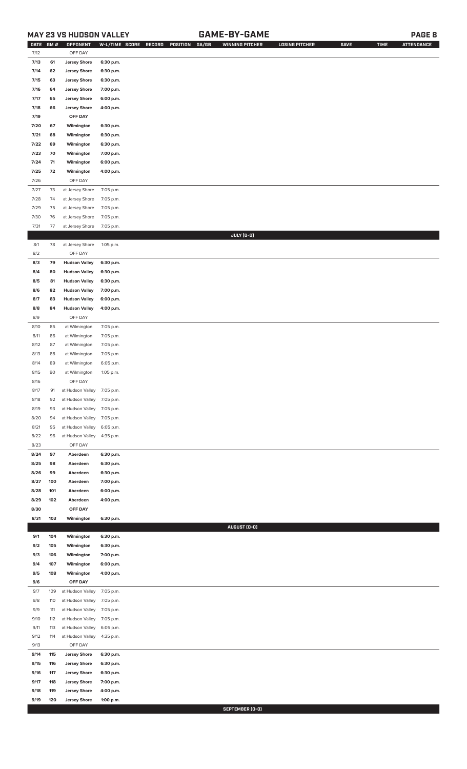# **MAY 23 VS HUDSON VALLEY GAME-BY-GAME PAGE 8**

| <b>DATE</b> | <b>GM#</b> | OPPONENT                   | W-L/TIME SCORE | RECORD<br>POSITION GA/GB | WINNING PITCHER | <b>LOSING PITCHER</b> | <b>SAVE</b> | <b>TIME</b> | <b>ATTENDANCE</b> |
|-------------|------------|----------------------------|----------------|--------------------------|-----------------|-----------------------|-------------|-------------|-------------------|
| 7/12        |            | OFF DAY                    |                |                          |                 |                       |             |             |                   |
| 7/13        | 61         | <b>Jersey Shore</b>        | 6:30 p.m.      |                          |                 |                       |             |             |                   |
| 7/14        | 62         | <b>Jersey Shore</b>        | 6:30 p.m.      |                          |                 |                       |             |             |                   |
| 7/15        | 63         | <b>Jersey Shore</b>        | 6:30 p.m.      |                          |                 |                       |             |             |                   |
| 7/16        | 64         | <b>Jersey Shore</b>        | 7:00 p.m.      |                          |                 |                       |             |             |                   |
| 7/17        | 65         | <b>Jersey Shore</b>        | 6:00 p.m.      |                          |                 |                       |             |             |                   |
| 7/18        | 66         | <b>Jersey Shore</b>        | 4:00 p.m.      |                          |                 |                       |             |             |                   |
|             |            | OFF DAY                    |                |                          |                 |                       |             |             |                   |
| 7/19        |            |                            |                |                          |                 |                       |             |             |                   |
| 7/20        | 67         | Wilmington                 | 6:30 p.m.      |                          |                 |                       |             |             |                   |
| 7/21        | 68         | Wilmington                 | 6:30 p.m.      |                          |                 |                       |             |             |                   |
| 7/22        | 69         | Wilmington                 | 6:30 p.m.      |                          |                 |                       |             |             |                   |
| 7/23        | 70         | Wilmington                 | 7:00 p.m.      |                          |                 |                       |             |             |                   |
| 7/24        | 71         | Wilmington                 | 6:00 p.m.      |                          |                 |                       |             |             |                   |
| 7/25        | 72         | Wilmington                 | 4:00 p.m.      |                          |                 |                       |             |             |                   |
| 7/26        |            | OFF DAY                    |                |                          |                 |                       |             |             |                   |
| 7/27        | 73         | at Jersey Shore            | 7:05 p.m.      |                          |                 |                       |             |             |                   |
| 7/28        | 74         | at Jersey Shore            | 7:05 p.m.      |                          |                 |                       |             |             |                   |
|             |            |                            |                |                          |                 |                       |             |             |                   |
| 7/29        | 75         | at Jersey Shore            | 7:05 p.m.      |                          |                 |                       |             |             |                   |
| 7/30        | 76         | at Jersey Shore            | 7:05 p.m.      |                          |                 |                       |             |             |                   |
| 7/31        | 77         | at Jersey Shore            | 7:05 p.m.      |                          |                 |                       |             |             |                   |
|             |            |                            |                |                          | JULY (0-0)      |                       |             |             |                   |
| 8/1         | 78         | at Jersey Shore            | 1:05 p.m.      |                          |                 |                       |             |             |                   |
| 8/2         |            | OFF DAY                    |                |                          |                 |                       |             |             |                   |
| 8/3         | 79         | <b>Hudson Valley</b>       | 6:30 p.m.      |                          |                 |                       |             |             |                   |
| 8/4         | 80         | <b>Hudson Valley</b>       | 6:30 p.m.      |                          |                 |                       |             |             |                   |
| 8/5         | 81         | <b>Hudson Valley</b>       | 6:30 p.m.      |                          |                 |                       |             |             |                   |
| 8/6         | 82         | <b>Hudson Valley</b>       | 7:00 p.m.      |                          |                 |                       |             |             |                   |
| 8/7         | 83         | <b>Hudson Valley</b>       | 6:00 p.m.      |                          |                 |                       |             |             |                   |
| 8/8         | 84         | <b>Hudson Valley</b>       | 4:00 p.m.      |                          |                 |                       |             |             |                   |
|             |            |                            |                |                          |                 |                       |             |             |                   |
| 8/9         |            | OFF DAY                    |                |                          |                 |                       |             |             |                   |
| 8/10        | 85         | at Wilmington              | 7:05 p.m.      |                          |                 |                       |             |             |                   |
| 8/11        | 86         | at Wilmington              | 7:05 p.m.      |                          |                 |                       |             |             |                   |
| 8/12        | 87         | at Wilmington              | 7:05 p.m.      |                          |                 |                       |             |             |                   |
| 8/13        | 88         | at Wilmington              | 7:05 p.m.      |                          |                 |                       |             |             |                   |
| 8/14        | 89         | at Wilmington              | 6:05 p.m.      |                          |                 |                       |             |             |                   |
| 8/15        | 90         | at Wilmington              | 1:05 p.m.      |                          |                 |                       |             |             |                   |
| 8/16        |            | OFF DAY                    |                |                          |                 |                       |             |             |                   |
| 8/17        | 91         | at Hudson Valley 7:05 p.m. |                |                          |                 |                       |             |             |                   |
| 8/18        | 92         | at Hudson Valley 7:05 p.m. |                |                          |                 |                       |             |             |                   |
| 8/19        | 93         | at Hudson Valley 7:05 p.m. |                |                          |                 |                       |             |             |                   |
|             |            |                            |                |                          |                 |                       |             |             |                   |
| 8/20        | 94         | at Hudson Valley 7:05 p.m. |                |                          |                 |                       |             |             |                   |
| 8/21        | 95         | at Hudson Valley           | 6:05 p.m.      |                          |                 |                       |             |             |                   |
| 8/22        | 96         | at Hudson Valley           | 4:35 p.m.      |                          |                 |                       |             |             |                   |
| 8/23        |            | OFF DAY                    |                |                          |                 |                       |             |             |                   |
| 8/24        | 97         | Aberdeen                   | 6:30 p.m.      |                          |                 |                       |             |             |                   |
| 8/25        | 98         | Aberdeen                   | 6:30 p.m.      |                          |                 |                       |             |             |                   |
| 8/26        | 99         | Aberdeen                   | 6:30 p.m.      |                          |                 |                       |             |             |                   |
| 8/27        | 100        | Aberdeen                   | 7:00 p.m.      |                          |                 |                       |             |             |                   |
| 8/28        | 101        | Aberdeen                   | 6:00 p.m.      |                          |                 |                       |             |             |                   |
| 8/29        | 102        | Aberdeen                   | 4:00 p.m.      |                          |                 |                       |             |             |                   |
| 8/30        |            | OFF DAY                    |                |                          |                 |                       |             |             |                   |
| 8/31        | 103        | Wilmington                 | 6:30 p.m.      |                          |                 |                       |             |             |                   |
|             |            |                            |                |                          | AUGUST (0-0)    |                       |             |             |                   |
| 9/1         | 104        | Wilmington                 | 6:30 p.m.      |                          |                 |                       |             |             |                   |
|             |            |                            |                |                          |                 |                       |             |             |                   |
| 9/2         | 105        | Wilmington                 | 6:30 p.m.      |                          |                 |                       |             |             |                   |
| 9/3         | 106        | Wilmington                 | 7:00 p.m.      |                          |                 |                       |             |             |                   |
| 9/4         | 107        | Wilmington                 | 6:00 p.m.      |                          |                 |                       |             |             |                   |
| 9/5         | 108        | Wilmington                 | 4:00 p.m.      |                          |                 |                       |             |             |                   |
| 9/6         |            | OFF DAY                    |                |                          |                 |                       |             |             |                   |
| 9/7         | 109        | at Hudson Valley           | 7:05 p.m.      |                          |                 |                       |             |             |                   |
| 9/8         | 110        | at Hudson Valley           | 7:05 p.m.      |                          |                 |                       |             |             |                   |
| 9/9         | 111        | at Hudson Valley           | 7:05 p.m.      |                          |                 |                       |             |             |                   |
| 9/10        | 112        | at Hudson Valley           | 7:05 p.m.      |                          |                 |                       |             |             |                   |
| 9/11        | 113        | at Hudson Valley           | 6:05 p.m.      |                          |                 |                       |             |             |                   |
| 9/12        | 114        | at Hudson Valley           | 4:35 p.m.      |                          |                 |                       |             |             |                   |
| 9/13        |            | OFF DAY                    |                |                          |                 |                       |             |             |                   |
| 9/14        | 115        | <b>Jersey Shore</b>        | 6:30 p.m.      |                          |                 |                       |             |             |                   |
| 9/15        | 116        | <b>Jersey Shore</b>        |                |                          |                 |                       |             |             |                   |
|             |            |                            | 6:30 p.m.      |                          |                 |                       |             |             |                   |
| 9/16        | 117        | <b>Jersey Shore</b>        | 6:30 p.m.      |                          |                 |                       |             |             |                   |
| 9/17        | 118        | <b>Jersey Shore</b>        | 7:00 p.m.      |                          |                 |                       |             |             |                   |
| 9/18        | 119        | <b>Jersey Shore</b>        | 4:00 p.m.      |                          |                 |                       |             |             |                   |
| 9/19        | 120        | <b>Jersey Shore</b>        | 1:00 p.m.      |                          |                 |                       |             |             |                   |

**SEPTEMBER (0-0)**<br>Executive and the second service of the service of the service of the service of the service of the series of